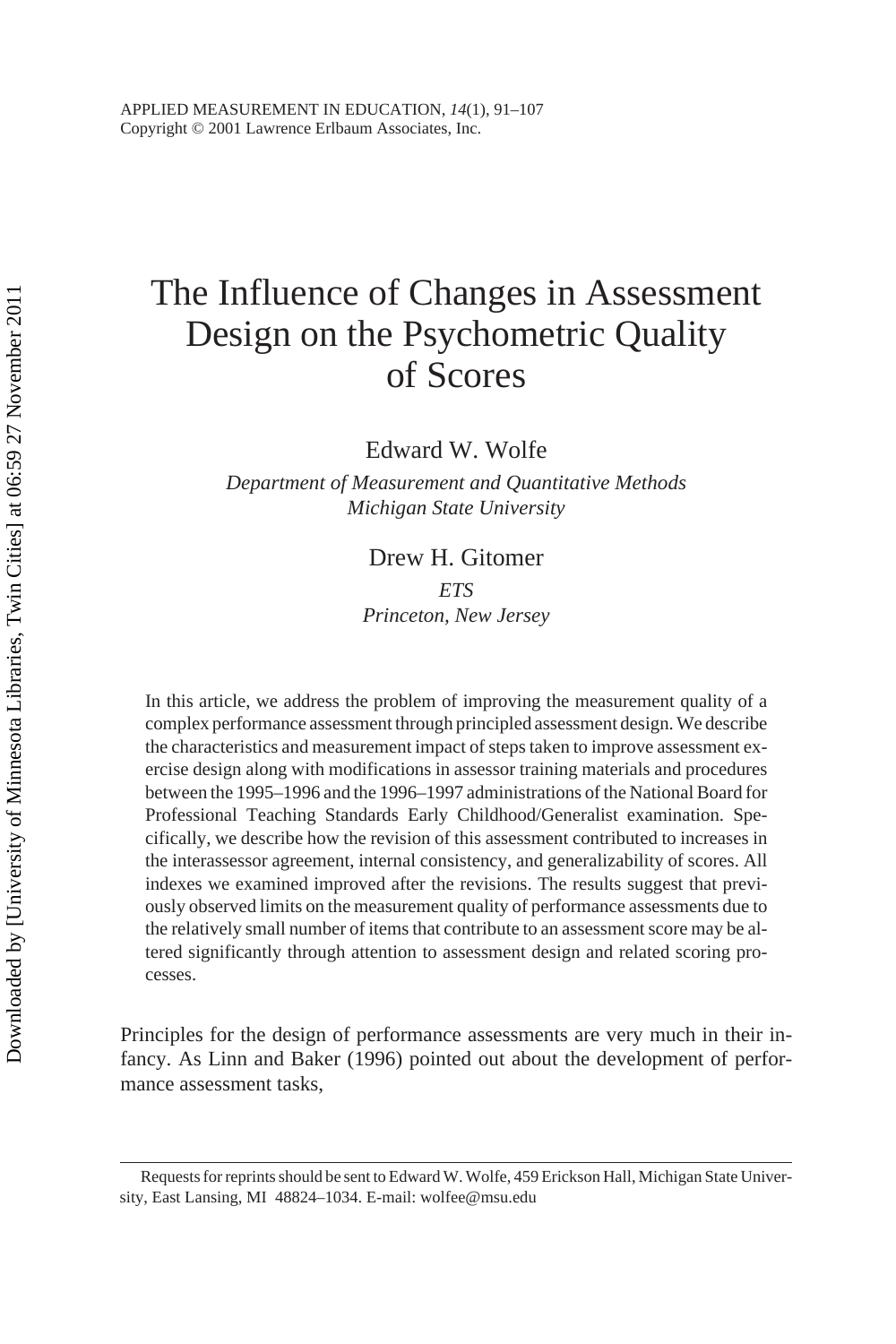# The Influence of Changes in Assessment Design on the Psychometric Quality of Scores

Edward W. Wolfe

*Department of Measurement and Quantitative Methods Michigan State University*

# Drew H. Gitomer

*ETS Princeton, New Jersey*

In this article, we address the problem of improving the measurement quality of a complex performance assessment through principled assessment design. We describe the characteristics and measurement impact of steps taken to improve assessment exercise design along with modifications in assessor training materials and procedures between the 1995–1996 and the 1996–1997 administrations of the National Board for Professional Teaching Standards Early Childhood/Generalist examination. Specifically, we describe how the revision of this assessment contributed to increases in the interassessor agreement, internal consistency, and generalizability of scores. All indexes we examined improved after the revisions. The results suggest that previously observed limits on the measurement quality of performance assessments due to the relatively small number of items that contribute to an assessment score may be altered significantly through attention to assessment design and related scoring processes.

Principles for the design of performance assessments are very much in their infancy. As Linn and Baker (1996) pointed out about the development of performance assessment tasks,

Requests for reprints should be sent to Edward W. Wolfe, 459 Erickson Hall, Michigan State University, East Lansing, MI 48824–1034. E-mail: wolfee@msu.edu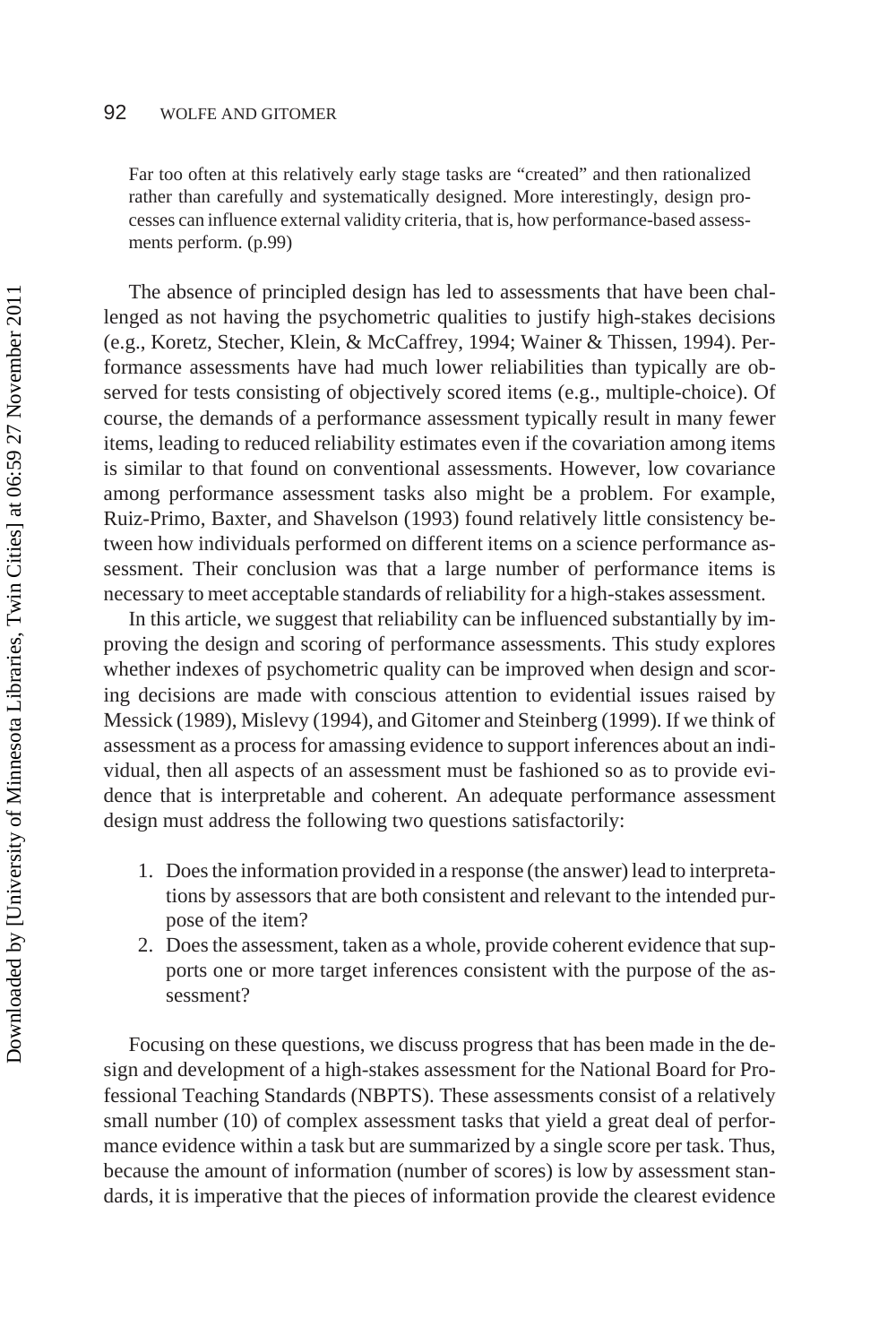## 92 WOLFE AND GITOMER

Far too often at this relatively early stage tasks are "created" and then rationalized rather than carefully and systematically designed. More interestingly, design processes can influence external validity criteria, that is, how performance-based assessments perform. (p.99)

The absence of principled design has led to assessments that have been challenged as not having the psychometric qualities to justify high-stakes decisions (e.g., Koretz, Stecher, Klein, & McCaffrey, 1994; Wainer & Thissen, 1994). Performance assessments have had much lower reliabilities than typically are observed for tests consisting of objectively scored items (e.g., multiple-choice). Of course, the demands of a performance assessment typically result in many fewer items, leading to reduced reliability estimates even if the covariation among items is similar to that found on conventional assessments. However, low covariance among performance assessment tasks also might be a problem. For example, Ruiz-Primo, Baxter, and Shavelson (1993) found relatively little consistency between how individuals performed on different items on a science performance assessment. Their conclusion was that a large number of performance items is necessary to meet acceptable standards of reliability for a high-stakes assessment.

In this article, we suggest that reliability can be influenced substantially by improving the design and scoring of performance assessments. This study explores whether indexes of psychometric quality can be improved when design and scoring decisions are made with conscious attention to evidential issues raised by Messick (1989), Mislevy (1994), and Gitomer and Steinberg (1999). If we think of assessment as a process for amassing evidence to support inferences about an individual, then all aspects of an assessment must be fashioned so as to provide evidence that is interpretable and coherent. An adequate performance assessment design must address the following two questions satisfactorily:

- 1. Does the information provided in a response (the answer) lead to interpretations by assessors that are both consistent and relevant to the intended purpose of the item?
- 2. Does the assessment, taken as a whole, provide coherent evidence that supports one or more target inferences consistent with the purpose of the assessment?

Focusing on these questions, we discuss progress that has been made in the design and development of a high-stakes assessment for the National Board for Professional Teaching Standards (NBPTS). These assessments consist of a relatively small number (10) of complex assessment tasks that yield a great deal of performance evidence within a task but are summarized by a single score per task. Thus, because the amount of information (number of scores) is low by assessment standards, it is imperative that the pieces of information provide the clearest evidence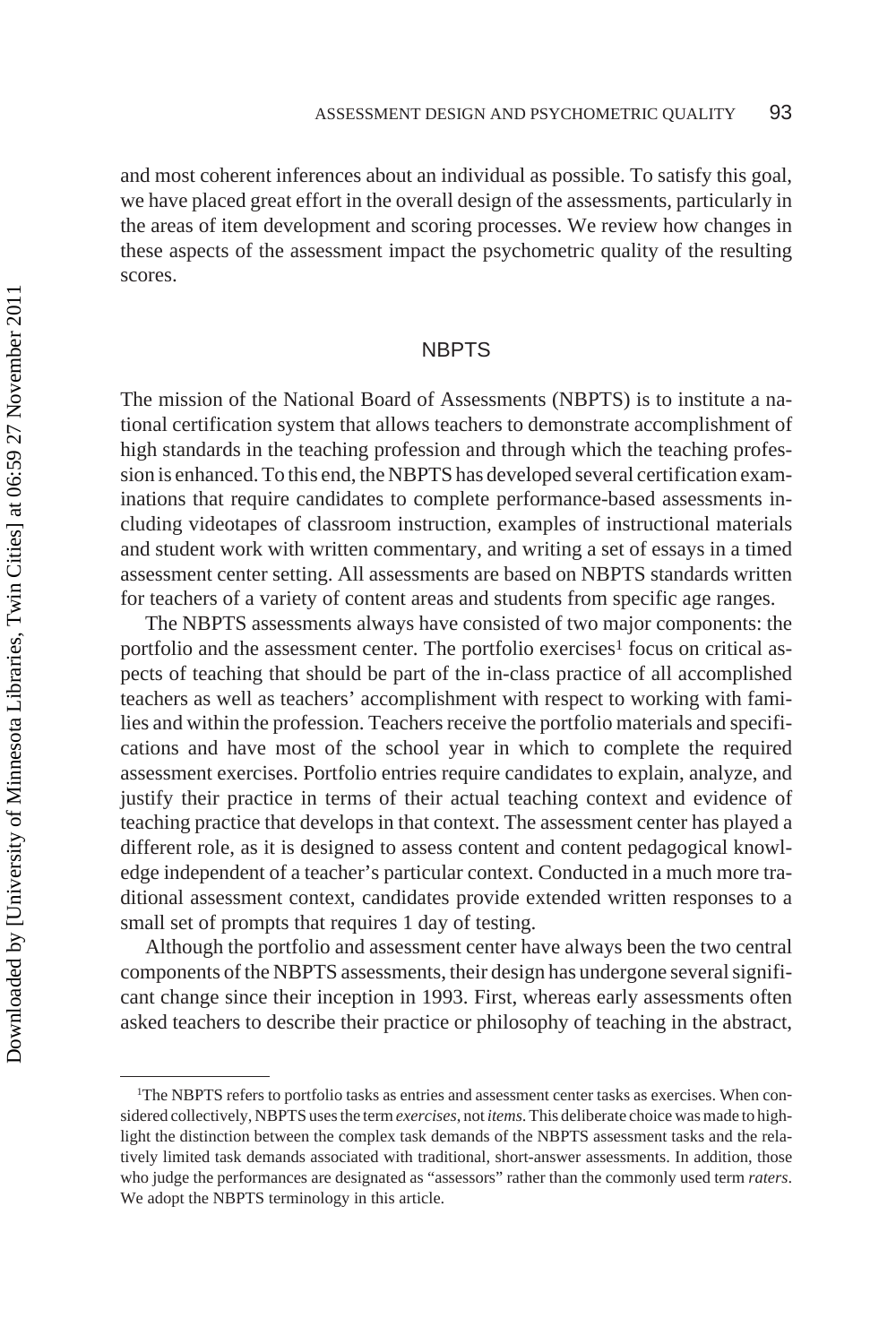and most coherent inferences about an individual as possible. To satisfy this goal, we have placed great effort in the overall design of the assessments, particularly in the areas of item development and scoring processes. We review how changes in these aspects of the assessment impact the psychometric quality of the resulting scores.

# **NBPTS**

The mission of the National Board of Assessments (NBPTS) is to institute a national certification system that allows teachers to demonstrate accomplishment of high standards in the teaching profession and through which the teaching profession is enhanced. To this end, the NBPTS has developed several certification examinations that require candidates to complete performance-based assessments including videotapes of classroom instruction, examples of instructional materials and student work with written commentary, and writing a set of essays in a timed assessment center setting. All assessments are based on NBPTS standards written for teachers of a variety of content areas and students from specific age ranges.

The NBPTS assessments always have consisted of two major components: the portfolio and the assessment center. The portfolio exercises<sup>1</sup> focus on critical aspects of teaching that should be part of the in-class practice of all accomplished teachers as well as teachers' accomplishment with respect to working with families and within the profession. Teachers receive the portfolio materials and specifications and have most of the school year in which to complete the required assessment exercises. Portfolio entries require candidates to explain, analyze, and justify their practice in terms of their actual teaching context and evidence of teaching practice that develops in that context. The assessment center has played a different role, as it is designed to assess content and content pedagogical knowledge independent of a teacher's particular context. Conducted in a much more traditional assessment context, candidates provide extended written responses to a small set of prompts that requires 1 day of testing.

Although the portfolio and assessment center have always been the two central components of the NBPTS assessments, their design has undergone several significant change since their inception in 1993. First, whereas early assessments often asked teachers to describe their practice or philosophy of teaching in the abstract,

<sup>1</sup>The NBPTS refers to portfolio tasks as entries and assessment center tasks as exercises. When considered collectively, NBPTS uses the term*exercises*, not *items*. This deliberate choice was made to highlight the distinction between the complex task demands of the NBPTS assessment tasks and the relatively limited task demands associated with traditional, short-answer assessments. In addition, those who judge the performances are designated as "assessors" rather than the commonly used term *raters*. We adopt the NBPTS terminology in this article.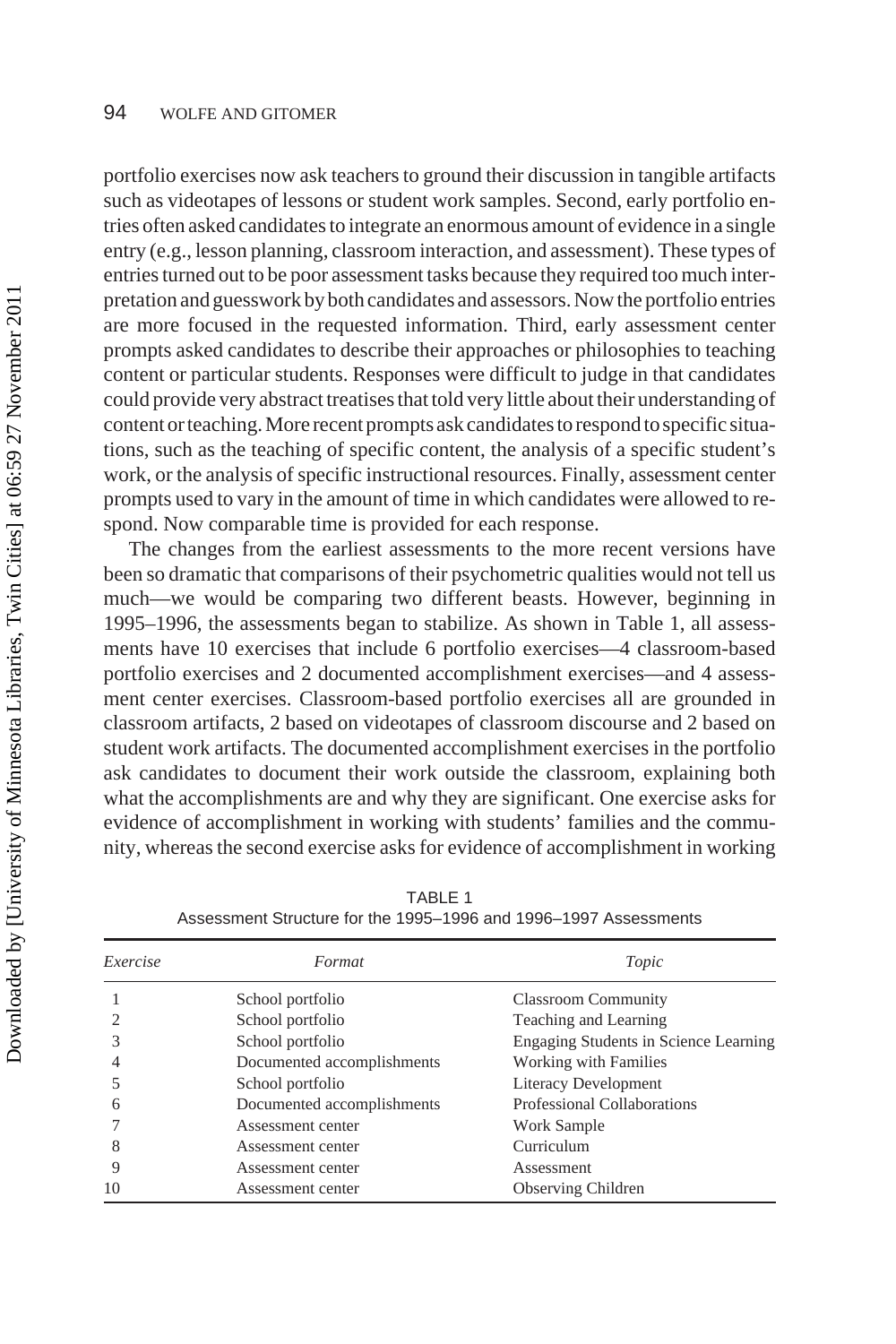portfolio exercises now ask teachers to ground their discussion in tangible artifacts such as videotapes of lessons or student work samples. Second, early portfolio entries often asked candidates to integrate an enormous amount of evidence in a single entry (e.g., lesson planning, classroom interaction, and assessment). These types of entries turned out to be poor assessment tasks because they required too much interpretation and guesswork by both candidates and assessors. Now the portfolio entries are more focused in the requested information. Third, early assessment center prompts asked candidates to describe their approaches or philosophies to teaching content or particular students. Responses were difficult to judge in that candidates could provide very abstract treatises that told very little about their understanding of content or teaching. More recent prompts ask candidates to respond to specific situations, such as the teaching of specific content, the analysis of a specific student's work, or the analysis of specific instructional resources. Finally, assessment center prompts used to vary in the amount of time in which candidates were allowed to respond. Now comparable time is provided for each response.

The changes from the earliest assessments to the more recent versions have been so dramatic that comparisons of their psychometric qualities would not tell us much—we would be comparing two different beasts. However, beginning in 1995–1996, the assessments began to stabilize. As shown in Table 1, all assessments have 10 exercises that include 6 portfolio exercises—4 classroom-based portfolio exercises and 2 documented accomplishment exercises—and 4 assessment center exercises. Classroom-based portfolio exercises all are grounded in classroom artifacts, 2 based on videotapes of classroom discourse and 2 based on student work artifacts. The documented accomplishment exercises in the portfolio ask candidates to document their work outside the classroom, explaining both what the accomplishments are and why they are significant. One exercise asks for evidence of accomplishment in working with students' families and the community, whereas the second exercise asks for evidence of accomplishment in working

| Exercise | Format                     | Topic                                 |
|----------|----------------------------|---------------------------------------|
|          | School portfolio           | <b>Classroom Community</b>            |
|          | School portfolio           | Teaching and Learning                 |
|          | School portfolio           | Engaging Students in Science Learning |
| 4        | Documented accomplishments | Working with Families                 |
|          | School portfolio           | <b>Literacy Development</b>           |
| 6        | Documented accomplishments | Professional Collaborations           |
|          | Assessment center          | Work Sample                           |
| 8        | Assessment center          | Curriculum                            |
|          | Assessment center          | Assessment                            |
| 10       | Assessment center          | Observing Children                    |

TABLE 1 Assessment Structure for the 1995–1996 and 1996–1997 Assessments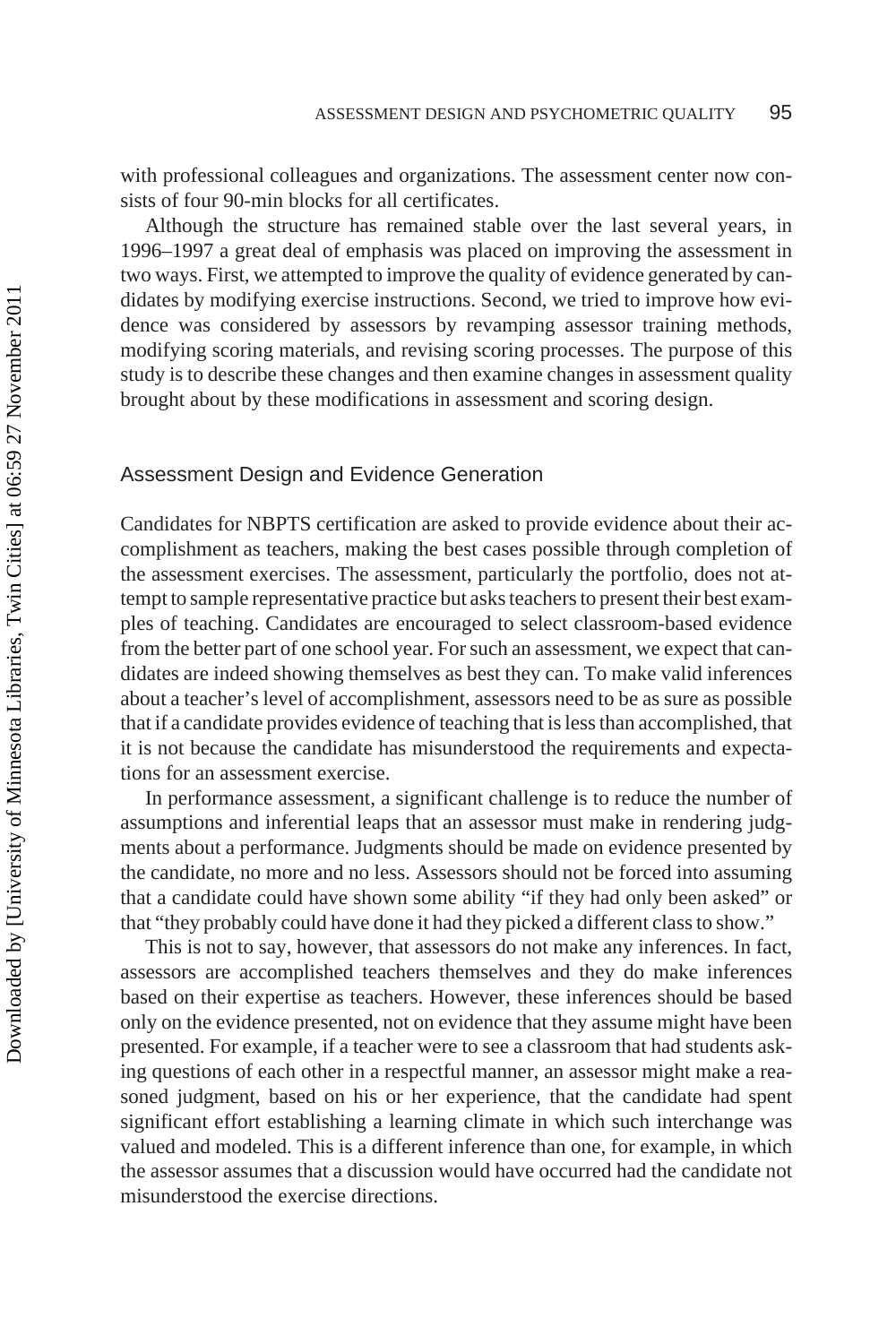with professional colleagues and organizations. The assessment center now consists of four 90-min blocks for all certificates.

Although the structure has remained stable over the last several years, in 1996–1997 a great deal of emphasis was placed on improving the assessment in two ways. First, we attempted to improve the quality of evidence generated by candidates by modifying exercise instructions. Second, we tried to improve how evidence was considered by assessors by revamping assessor training methods, modifying scoring materials, and revising scoring processes. The purpose of this study is to describe these changes and then examine changes in assessment quality brought about by these modifications in assessment and scoring design.

# Assessment Design and Evidence Generation

Candidates for NBPTS certification are asked to provide evidence about their accomplishment as teachers, making the best cases possible through completion of the assessment exercises. The assessment, particularly the portfolio, does not attempt to sample representative practice but asks teachers to present their best examples of teaching. Candidates are encouraged to select classroom-based evidence from the better part of one school year. For such an assessment, we expect that candidates are indeed showing themselves as best they can. To make valid inferences about a teacher's level of accomplishment, assessors need to be as sure as possible that if a candidate provides evidence of teaching that is less than accomplished, that it is not because the candidate has misunderstood the requirements and expectations for an assessment exercise.

In performance assessment, a significant challenge is to reduce the number of assumptions and inferential leaps that an assessor must make in rendering judgments about a performance. Judgments should be made on evidence presented by the candidate, no more and no less. Assessors should not be forced into assuming that a candidate could have shown some ability "if they had only been asked" or that "they probably could have done it had they picked a different class to show."

This is not to say, however, that assessors do not make any inferences. In fact, assessors are accomplished teachers themselves and they do make inferences based on their expertise as teachers. However, these inferences should be based only on the evidence presented, not on evidence that they assume might have been presented. For example, if a teacher were to see a classroom that had students asking questions of each other in a respectful manner, an assessor might make a reasoned judgment, based on his or her experience, that the candidate had spent significant effort establishing a learning climate in which such interchange was valued and modeled. This is a different inference than one, for example, in which the assessor assumes that a discussion would have occurred had the candidate not misunderstood the exercise directions.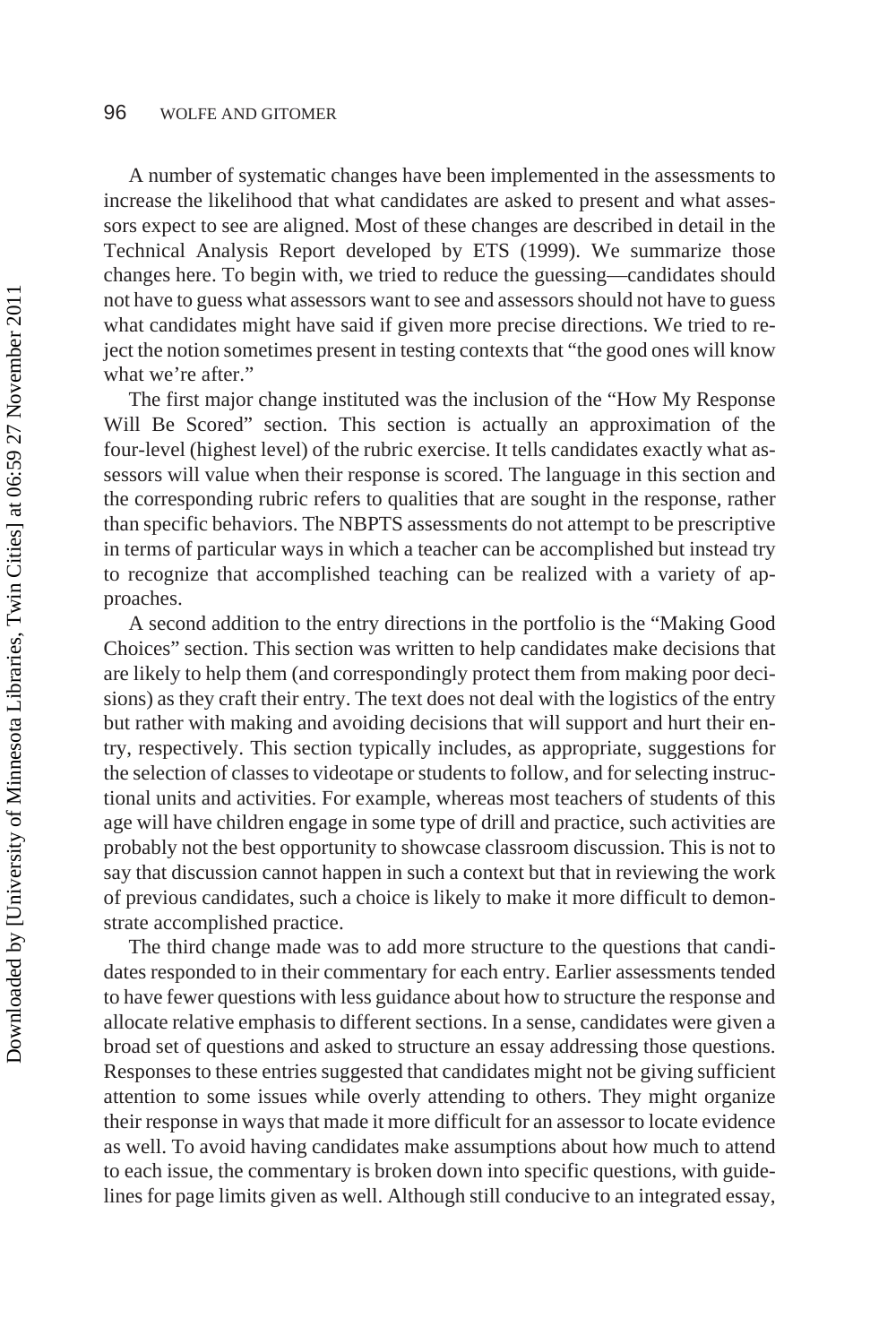## 96 WOLFE AND GITOMER

A number of systematic changes have been implemented in the assessments to increase the likelihood that what candidates are asked to present and what assessors expect to see are aligned. Most of these changes are described in detail in the Technical Analysis Report developed by ETS (1999). We summarize those changes here. To begin with, we tried to reduce the guessing—candidates should not have to guess what assessors want to see and assessors should not have to guess what candidates might have said if given more precise directions. We tried to reject the notion sometimes present in testing contexts that "the good ones will know what we're after."

The first major change instituted was the inclusion of the "How My Response Will Be Scored" section. This section is actually an approximation of the four-level (highest level) of the rubric exercise. It tells candidates exactly what assessors will value when their response is scored. The language in this section and the corresponding rubric refers to qualities that are sought in the response, rather than specific behaviors. The NBPTS assessments do not attempt to be prescriptive in terms of particular ways in which a teacher can be accomplished but instead try to recognize that accomplished teaching can be realized with a variety of approaches.

A second addition to the entry directions in the portfolio is the "Making Good Choices" section. This section was written to help candidates make decisions that are likely to help them (and correspondingly protect them from making poor decisions) as they craft their entry. The text does not deal with the logistics of the entry but rather with making and avoiding decisions that will support and hurt their entry, respectively. This section typically includes, as appropriate, suggestions for the selection of classes to videotape or students to follow, and for selecting instructional units and activities. For example, whereas most teachers of students of this age will have children engage in some type of drill and practice, such activities are probably not the best opportunity to showcase classroom discussion. This is not to say that discussion cannot happen in such a context but that in reviewing the work of previous candidates, such a choice is likely to make it more difficult to demonstrate accomplished practice.

The third change made was to add more structure to the questions that candidates responded to in their commentary for each entry. Earlier assessments tended to have fewer questions with less guidance about how to structure the response and allocate relative emphasis to different sections. In a sense, candidates were given a broad set of questions and asked to structure an essay addressing those questions. Responses to these entries suggested that candidates might not be giving sufficient attention to some issues while overly attending to others. They might organize their response in ways that made it more difficult for an assessor to locate evidence as well. To avoid having candidates make assumptions about how much to attend to each issue, the commentary is broken down into specific questions, with guidelines for page limits given as well. Although still conducive to an integrated essay,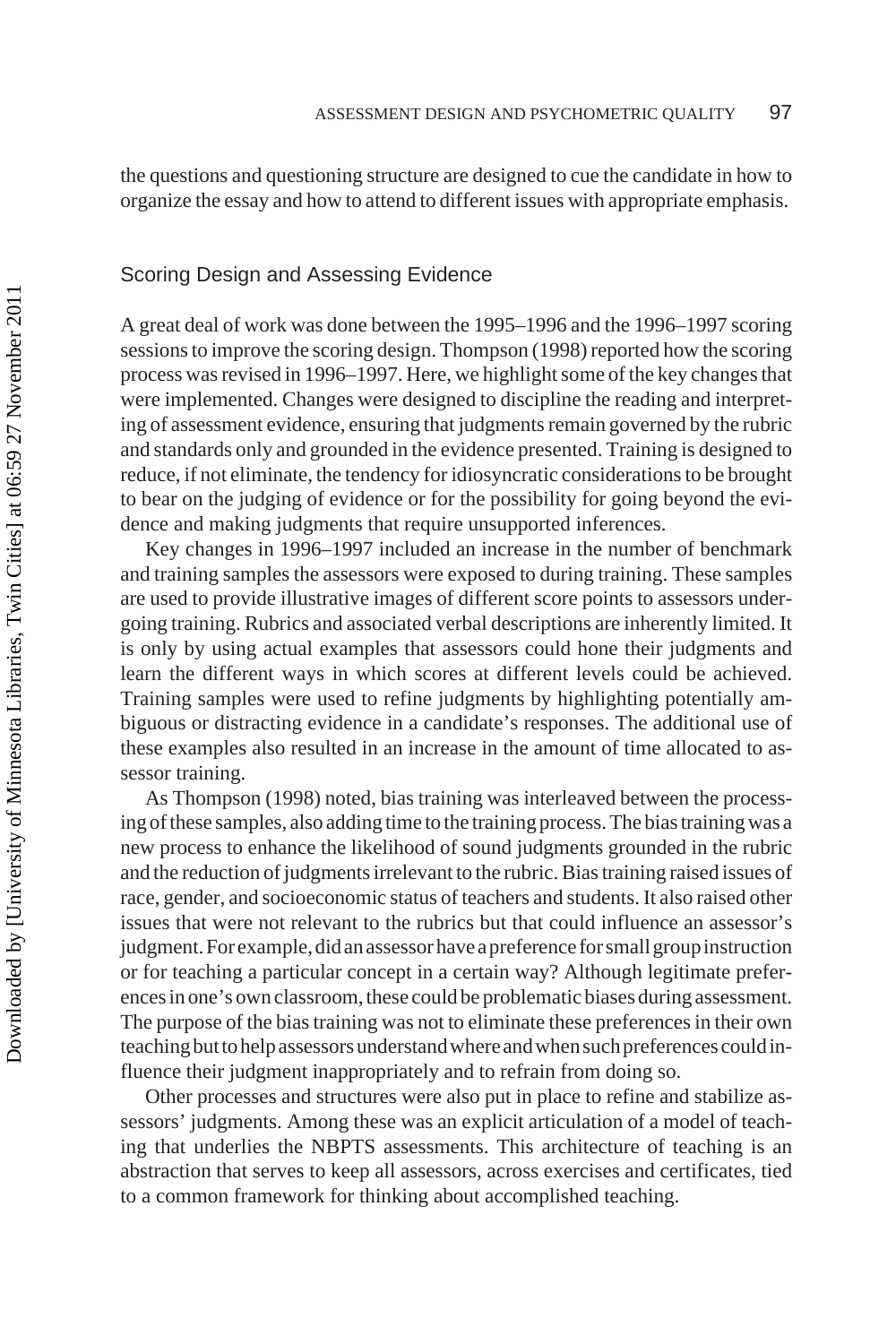the questions and questioning structure are designed to cue the candidate in how to organize the essay and how to attend to different issues with appropriate emphasis.

## Scoring Design and Assessing Evidence

A great deal of work was done between the 1995–1996 and the 1996–1997 scoring sessions to improve the scoring design. Thompson (1998) reported how the scoring process was revised in 1996–1997. Here, we highlight some of the key changes that were implemented. Changes were designed to discipline the reading and interpreting of assessment evidence, ensuring that judgments remain governed by the rubric and standards only and grounded in the evidence presented. Training is designed to reduce, if not eliminate, the tendency for idiosyncratic considerations to be brought to bear on the judging of evidence or for the possibility for going beyond the evidence and making judgments that require unsupported inferences.

Key changes in 1996–1997 included an increase in the number of benchmark and training samples the assessors were exposed to during training. These samples are used to provide illustrative images of different score points to assessors undergoing training. Rubrics and associated verbal descriptions are inherently limited. It is only by using actual examples that assessors could hone their judgments and learn the different ways in which scores at different levels could be achieved. Training samples were used to refine judgments by highlighting potentially ambiguous or distracting evidence in a candidate's responses. The additional use of these examples also resulted in an increase in the amount of time allocated to assessor training.

As Thompson (1998) noted, bias training was interleaved between the processing of these samples, also adding time to the training process. The bias training was a new process to enhance the likelihood of sound judgments grounded in the rubric and the reduction of judgments irrelevant to the rubric. Bias training raised issues of race, gender, and socioeconomic status of teachers and students. It also raised other issues that were not relevant to the rubrics but that could influence an assessor's judgment.Forexample,didanassessorhaveapreferenceforsmallgroupinstruction or for teaching a particular concept in a certain way? Although legitimate preferences in one's own classroom, these could be problematic biases during assessment. The purpose of the bias training was not to eliminate these preferences in their own teaching but to help assessors understand where and when such preferences could influence their judgment inappropriately and to refrain from doing so.

Other processes and structures were also put in place to refine and stabilize assessors' judgments. Among these was an explicit articulation of a model of teaching that underlies the NBPTS assessments. This architecture of teaching is an abstraction that serves to keep all assessors, across exercises and certificates, tied to a common framework for thinking about accomplished teaching.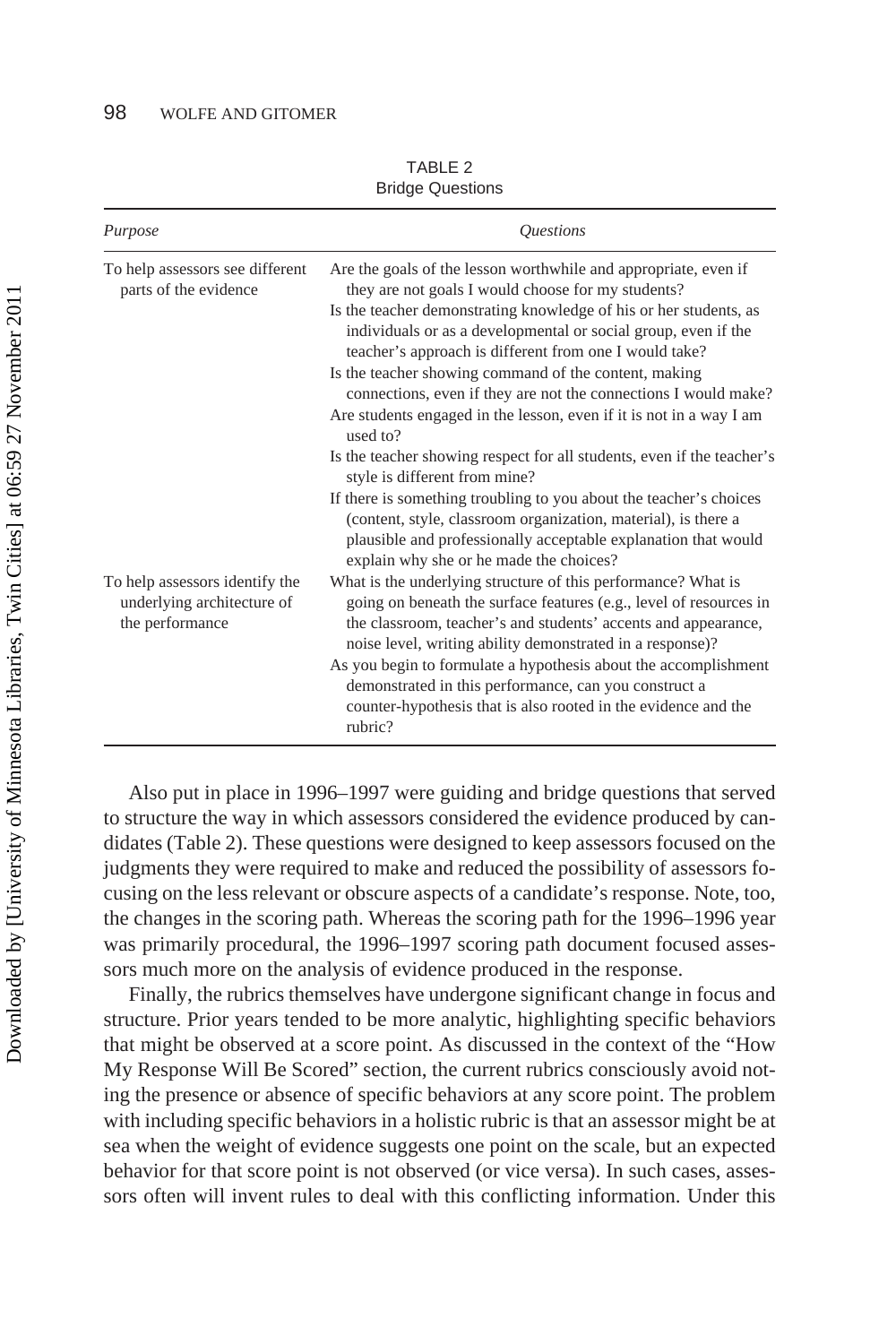| Purpose                                                                         | <i><u><b>Ouestions</b></u></i>                                                                                                                                                                                                                                                                                                                                                                                                                                              |
|---------------------------------------------------------------------------------|-----------------------------------------------------------------------------------------------------------------------------------------------------------------------------------------------------------------------------------------------------------------------------------------------------------------------------------------------------------------------------------------------------------------------------------------------------------------------------|
| To help assessors see different<br>parts of the evidence                        | Are the goals of the lesson worthwhile and appropriate, even if<br>they are not goals I would choose for my students?<br>Is the teacher demonstrating knowledge of his or her students, as<br>individuals or as a developmental or social group, even if the<br>teacher's approach is different from one I would take?                                                                                                                                                      |
|                                                                                 | Is the teacher showing command of the content, making<br>connections, even if they are not the connections I would make?<br>Are students engaged in the lesson, even if it is not in a way I am<br>used to?                                                                                                                                                                                                                                                                 |
|                                                                                 | Is the teacher showing respect for all students, even if the teacher's<br>style is different from mine?<br>If there is something troubling to you about the teacher's choices<br>(content, style, classroom organization, material), is there a<br>plausible and professionally acceptable explanation that would<br>explain why she or he made the choices?                                                                                                                |
| To help assessors identify the<br>underlying architecture of<br>the performance | What is the underlying structure of this performance? What is<br>going on beneath the surface features (e.g., level of resources in<br>the classroom, teacher's and students' accents and appearance,<br>noise level, writing ability demonstrated in a response)?<br>As you begin to formulate a hypothesis about the accomplishment<br>demonstrated in this performance, can you construct a<br>counter-hypothesis that is also rooted in the evidence and the<br>rubric? |

TABLE 2 Bridge Questions

Also put in place in 1996–1997 were guiding and bridge questions that served to structure the way in which assessors considered the evidence produced by candidates (Table 2). These questions were designed to keep assessors focused on the judgments they were required to make and reduced the possibility of assessors focusing on the less relevant or obscure aspects of a candidate's response. Note, too, the changes in the scoring path. Whereas the scoring path for the 1996–1996 year was primarily procedural, the 1996–1997 scoring path document focused assessors much more on the analysis of evidence produced in the response.

Finally, the rubrics themselves have undergone significant change in focus and structure. Prior years tended to be more analytic, highlighting specific behaviors that might be observed at a score point. As discussed in the context of the "How My Response Will Be Scored" section, the current rubrics consciously avoid noting the presence or absence of specific behaviors at any score point. The problem with including specific behaviors in a holistic rubric is that an assessor might be at sea when the weight of evidence suggests one point on the scale, but an expected behavior for that score point is not observed (or vice versa). In such cases, assessors often will invent rules to deal with this conflicting information. Under this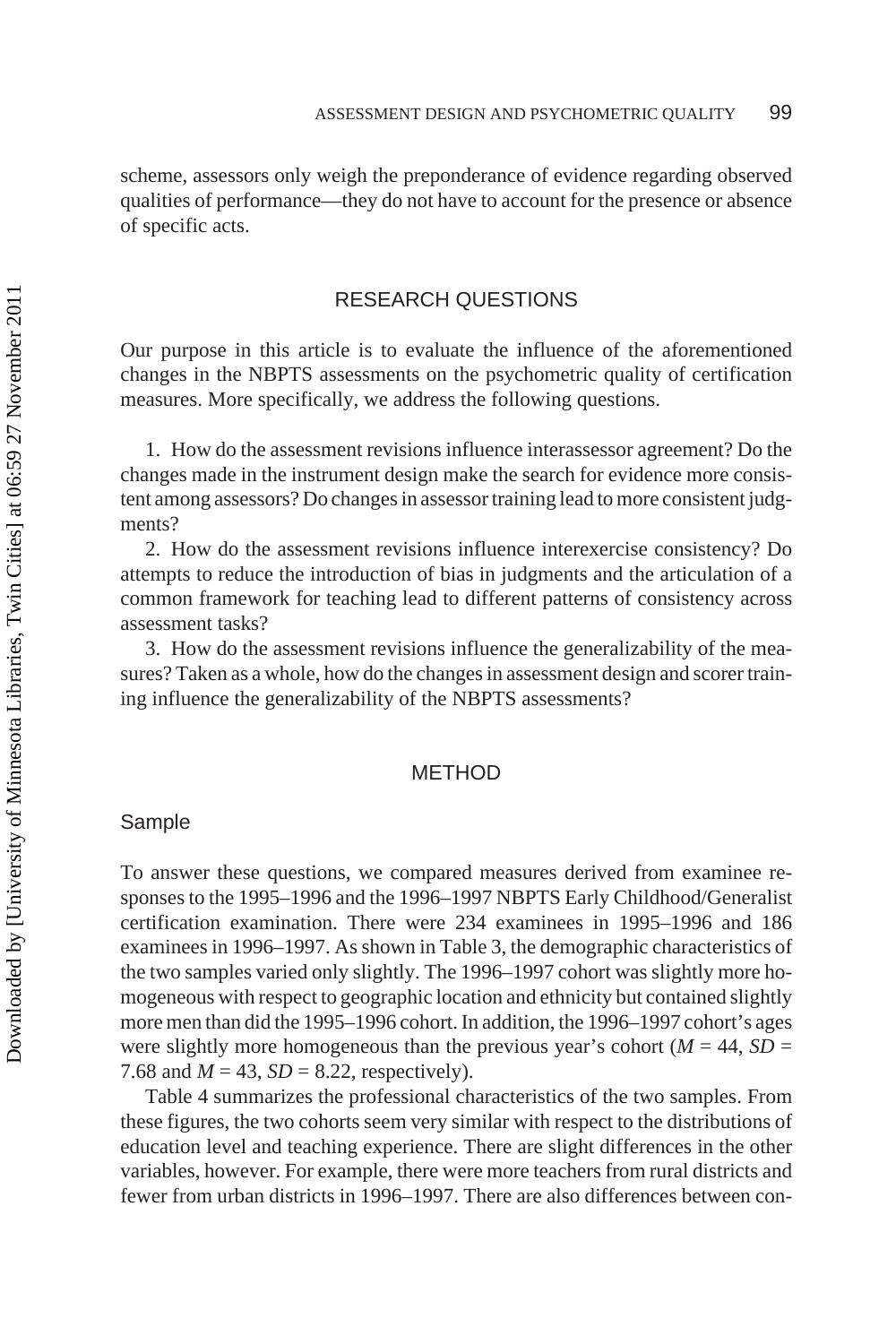scheme, assessors only weigh the preponderance of evidence regarding observed qualities of performance—they do not have to account for the presence or absence of specific acts.

# RESEARCH QUESTIONS

Our purpose in this article is to evaluate the influence of the aforementioned changes in the NBPTS assessments on the psychometric quality of certification measures. More specifically, we address the following questions.

1. How do the assessment revisions influence interassessor agreement? Do the changes made in the instrument design make the search for evidence more consistent among assessors? Do changes in assessor training lead to more consistent judgments?

2. How do the assessment revisions influence interexercise consistency? Do attempts to reduce the introduction of bias in judgments and the articulation of a common framework for teaching lead to different patterns of consistency across assessment tasks?

3. How do the assessment revisions influence the generalizability of the measures? Taken as a whole, how do the changes in assessment design and scorer training influence the generalizability of the NBPTS assessments?

## METHOD

# Sample

To answer these questions, we compared measures derived from examinee responses to the 1995–1996 and the 1996–1997 NBPTS Early Childhood/Generalist certification examination. There were 234 examinees in 1995–1996 and 186 examinees in 1996–1997. As shown in Table 3, the demographic characteristics of the two samples varied only slightly. The 1996–1997 cohort was slightly more homogeneous with respect to geographic location and ethnicity but contained slightly more men than did the 1995–1996 cohort. In addition, the 1996–1997 cohort's ages were slightly more homogeneous than the previous year's cohort ( $M = 44$ ,  $SD =$ 7.68 and  $M = 43$ ,  $SD = 8.22$ , respectively).

Table 4 summarizes the professional characteristics of the two samples. From these figures, the two cohorts seem very similar with respect to the distributions of education level and teaching experience. There are slight differences in the other variables, however. For example, there were more teachers from rural districts and fewer from urban districts in 1996–1997. There are also differences between con-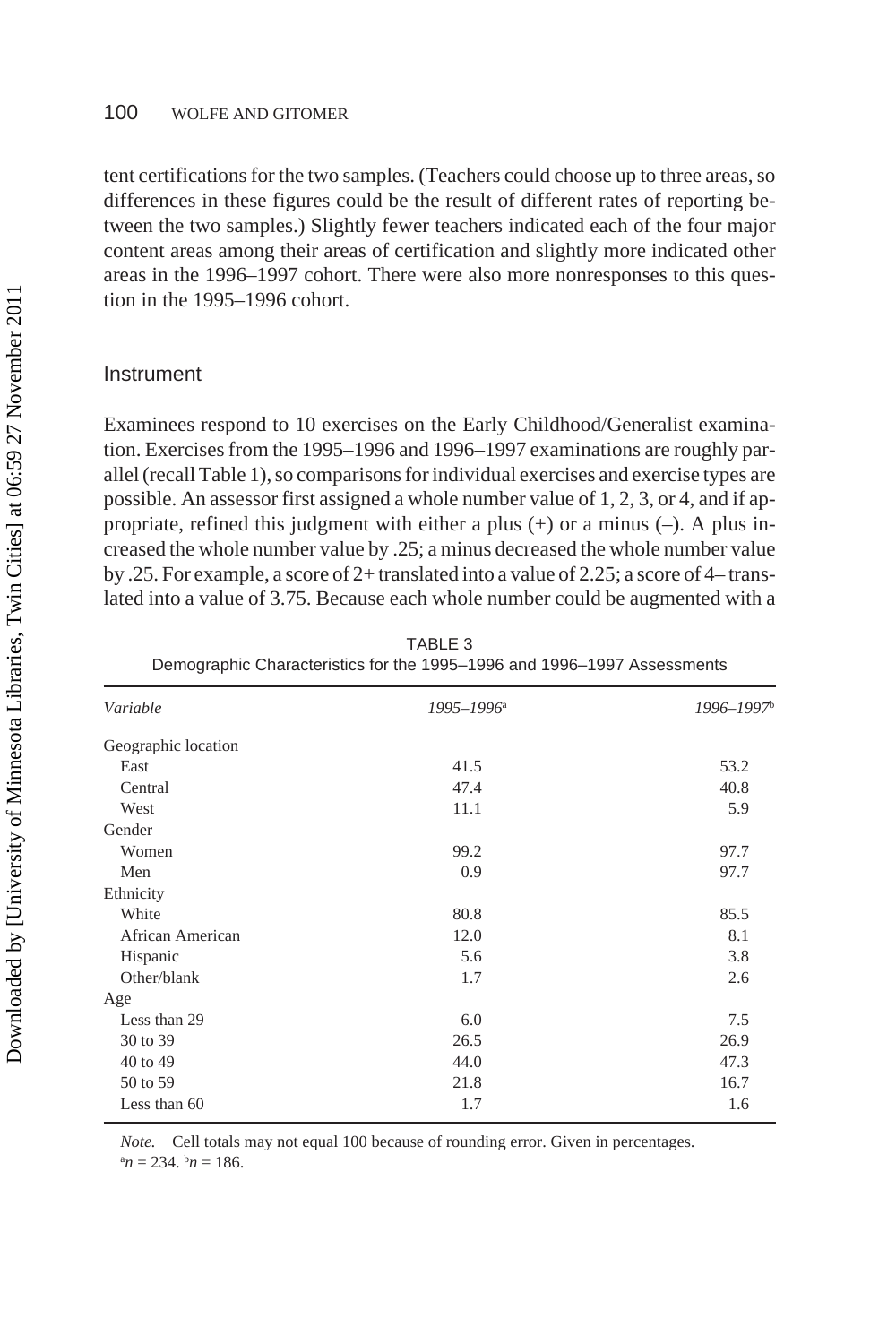## 100 WOLFE AND GITOMER

tent certifications for the two samples. (Teachers could choose up to three areas, so differences in these figures could be the result of different rates of reporting between the two samples.) Slightly fewer teachers indicated each of the four major content areas among their areas of certification and slightly more indicated other areas in the 1996–1997 cohort. There were also more nonresponses to this question in the 1995–1996 cohort.

#### Instrument

Examinees respond to 10 exercises on the Early Childhood/Generalist examination. Exercises from the 1995–1996 and 1996–1997 examinations are roughly parallel (recall Table 1), so comparisons for individual exercises and exercise types are possible. An assessor first assigned a whole number value of 1, 2, 3, or 4, and if appropriate, refined this judgment with either a plus  $(+)$  or a minus  $(-)$ . A plus increased the whole number value by .25; a minus decreased the whole number value by .25. For example, a score of 2+ translated into a value of 2.25; a score of 4– translated into a value of 3.75. Because each whole number could be augmented with a

| Variable            | 1995-1996 <sup>a</sup> | 1996-1997b |
|---------------------|------------------------|------------|
| Geographic location |                        |            |
| East                | 41.5                   | 53.2       |
| Central             | 47.4                   | 40.8       |
| West                | 11.1                   | 5.9        |
| Gender              |                        |            |
| Women               | 99.2                   | 97.7       |
| Men                 | 0.9                    | 97.7       |
| Ethnicity           |                        |            |
| White               | 80.8                   | 85.5       |
| African American    | 12.0                   | 8.1        |
| Hispanic            | 5.6                    | 3.8        |
| Other/blank         | 1.7                    | 2.6        |
| Age                 |                        |            |
| Less than 29        | 6.0                    | 7.5        |
| 30 to 39            | 26.5                   | 26.9       |
| 40 to 49            | 44.0                   | 47.3       |
| 50 to 59            | 21.8                   | 16.7       |
| Less than 60        | 1.7                    | 1.6        |
|                     |                        |            |

TABLE 3 Demographic Characteristics for the 1995–1996 and 1996–1997 Assessments

*Note.* Cell totals may not equal 100 because of rounding error. Given in percentages.

 $a_n = 234$ .  $b_n = 186$ .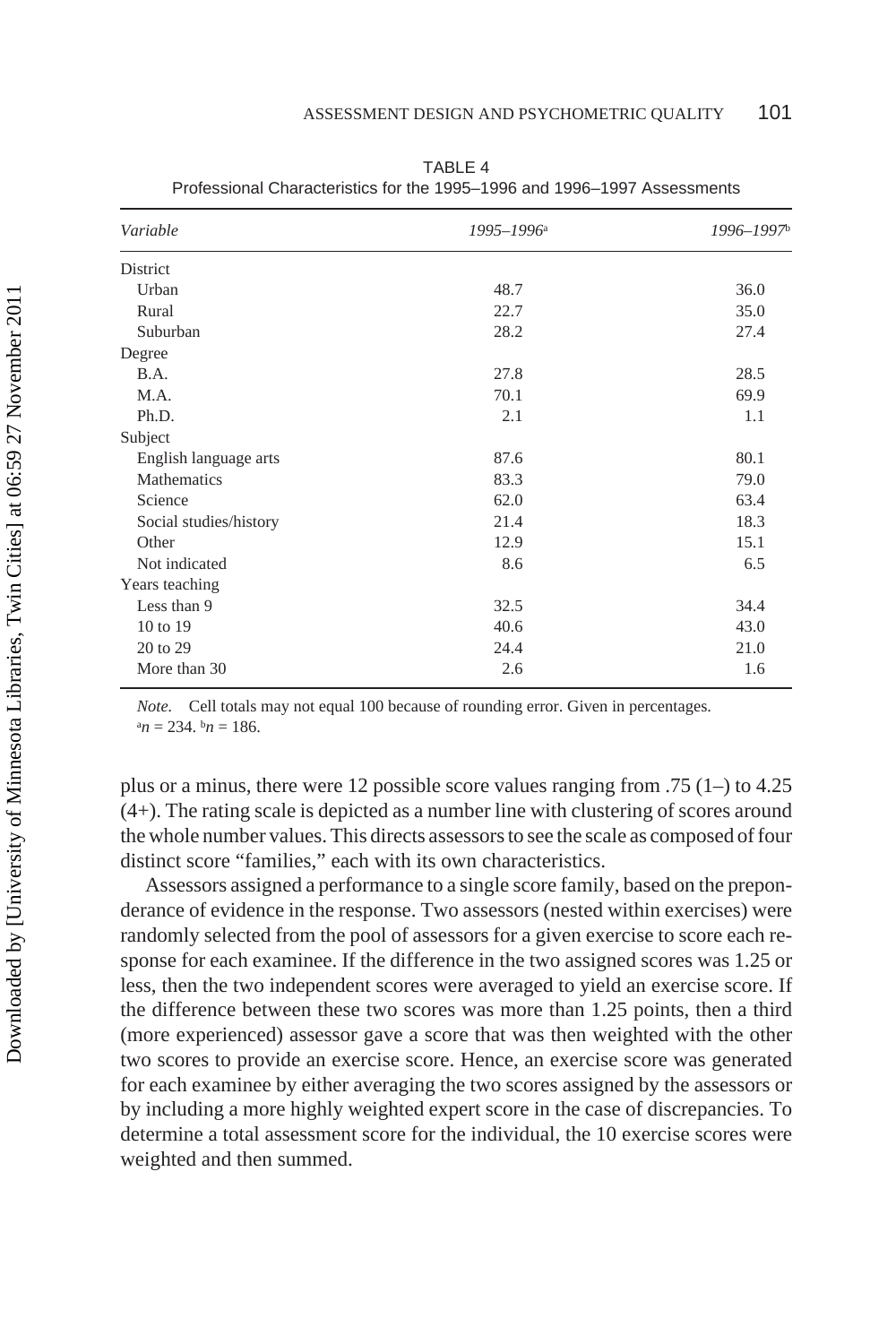| Variable               | 1995-1996 <sup>a</sup> | 1996-1997b |
|------------------------|------------------------|------------|
| <b>District</b>        |                        |            |
| Urban                  | 48.7                   | 36.0       |
| Rural                  | 22.7                   | 35.0       |
| Suburban               | 28.2                   | 27.4       |
| Degree                 |                        |            |
| B.A.                   | 27.8                   | 28.5       |
| M.A.                   | 70.1                   | 69.9       |
| Ph.D.                  | 2.1                    | 1.1        |
| Subject                |                        |            |
| English language arts  | 87.6                   | 80.1       |
| Mathematics            | 83.3                   | 79.0       |
| Science                | 62.0                   | 63.4       |
| Social studies/history | 21.4                   | 18.3       |
| Other                  | 12.9                   | 15.1       |
| Not indicated          | 8.6                    | 6.5        |
| Years teaching         |                        |            |
| Less than 9            | 32.5                   | 34.4       |
| 10 to 19               | 40.6                   | 43.0       |
| 20 to 29               | 24.4                   | 21.0       |
| More than 30           | 2.6                    | 1.6        |

TABLE 4 Professional Characteristics for the 1995–1996 and 1996–1997 Assessments

*Note.* Cell totals may not equal 100 because of rounding error. Given in percentages.  $a_n = 234$ .  $b_n = 186$ .

plus or a minus, there were 12 possible score values ranging from .75 (1–) to 4.25 (4+). The rating scale is depicted as a number line with clustering of scores around the whole number values. This directs assessors to see the scale as composed of four distinct score "families," each with its own characteristics.

Assessors assigned a performance to a single score family, based on the preponderance of evidence in the response. Two assessors (nested within exercises) were randomly selected from the pool of assessors for a given exercise to score each response for each examinee. If the difference in the two assigned scores was 1.25 or less, then the two independent scores were averaged to yield an exercise score. If the difference between these two scores was more than 1.25 points, then a third (more experienced) assessor gave a score that was then weighted with the other two scores to provide an exercise score. Hence, an exercise score was generated for each examinee by either averaging the two scores assigned by the assessors or by including a more highly weighted expert score in the case of discrepancies. To determine a total assessment score for the individual, the 10 exercise scores were weighted and then summed.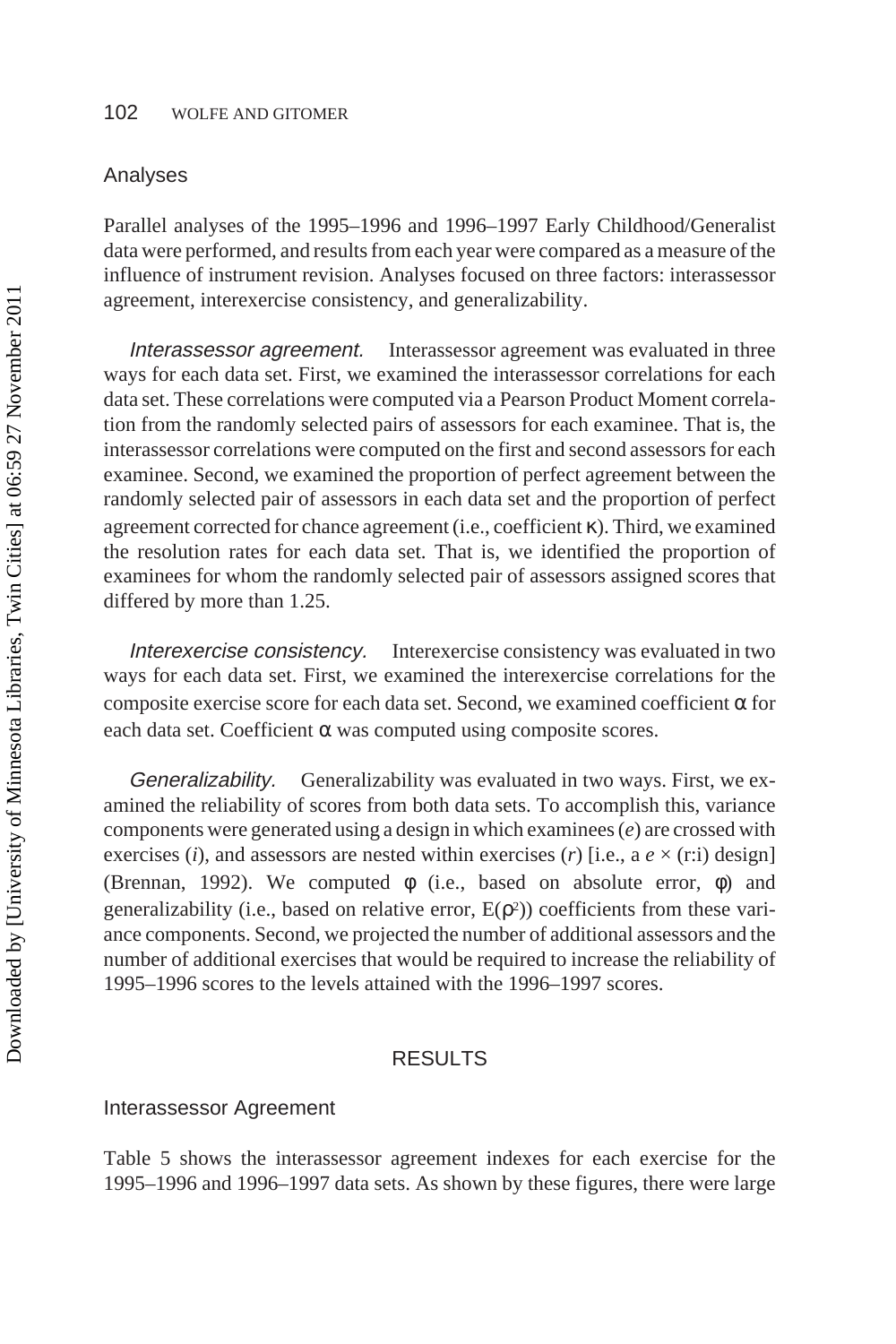#### Analyses

Parallel analyses of the 1995–1996 and 1996–1997 Early Childhood/Generalist data were performed, and results from each year were compared as a measure of the influence of instrument revision. Analyses focused on three factors: interassessor agreement, interexercise consistency, and generalizability.

Interassessor agreement. Interassessor agreement was evaluated in three ways for each data set. First, we examined the interassessor correlations for each data set. These correlations were computed via a Pearson Product Moment correlation from the randomly selected pairs of assessors for each examinee. That is, the interassessor correlations were computed on the first and second assessors for each examinee. Second, we examined the proportion of perfect agreement between the randomly selected pair of assessors in each data set and the proportion of perfect agreement corrected for chance agreement (i.e., coefficient κ). Third, we examined the resolution rates for each data set. That is, we identified the proportion of examinees for whom the randomly selected pair of assessors assigned scores that differed by more than 1.25.

Interexercise consistency. Interexercise consistency was evaluated in two ways for each data set. First, we examined the interexercise correlations for the composite exercise score for each data set. Second, we examined coefficient  $\alpha$  for each data set. Coefficient  $\alpha$  was computed using composite scores.

Generalizability. Generalizability was evaluated in two ways. First, we examined the reliability of scores from both data sets. To accomplish this, variance components were generated using a design in which examinees (*e*) are crossed with exercises (*i*), and assessors are nested within exercises (*r*) [i.e., a  $e \times (r:i)$  design] (Brennan, 1992). We computed  $\phi$  (i.e., based on absolute error,  $\phi$ ) and generalizability (i.e., based on relative error,  $E(\rho^2)$ ) coefficients from these variance components. Second, we projected the number of additional assessors and the number of additional exercises that would be required to increase the reliability of 1995–1996 scores to the levels attained with the 1996–1997 scores.

# RESULTS

## Interassessor Agreement

Table 5 shows the interassessor agreement indexes for each exercise for the 1995–1996 and 1996–1997 data sets. As shown by these figures, there were large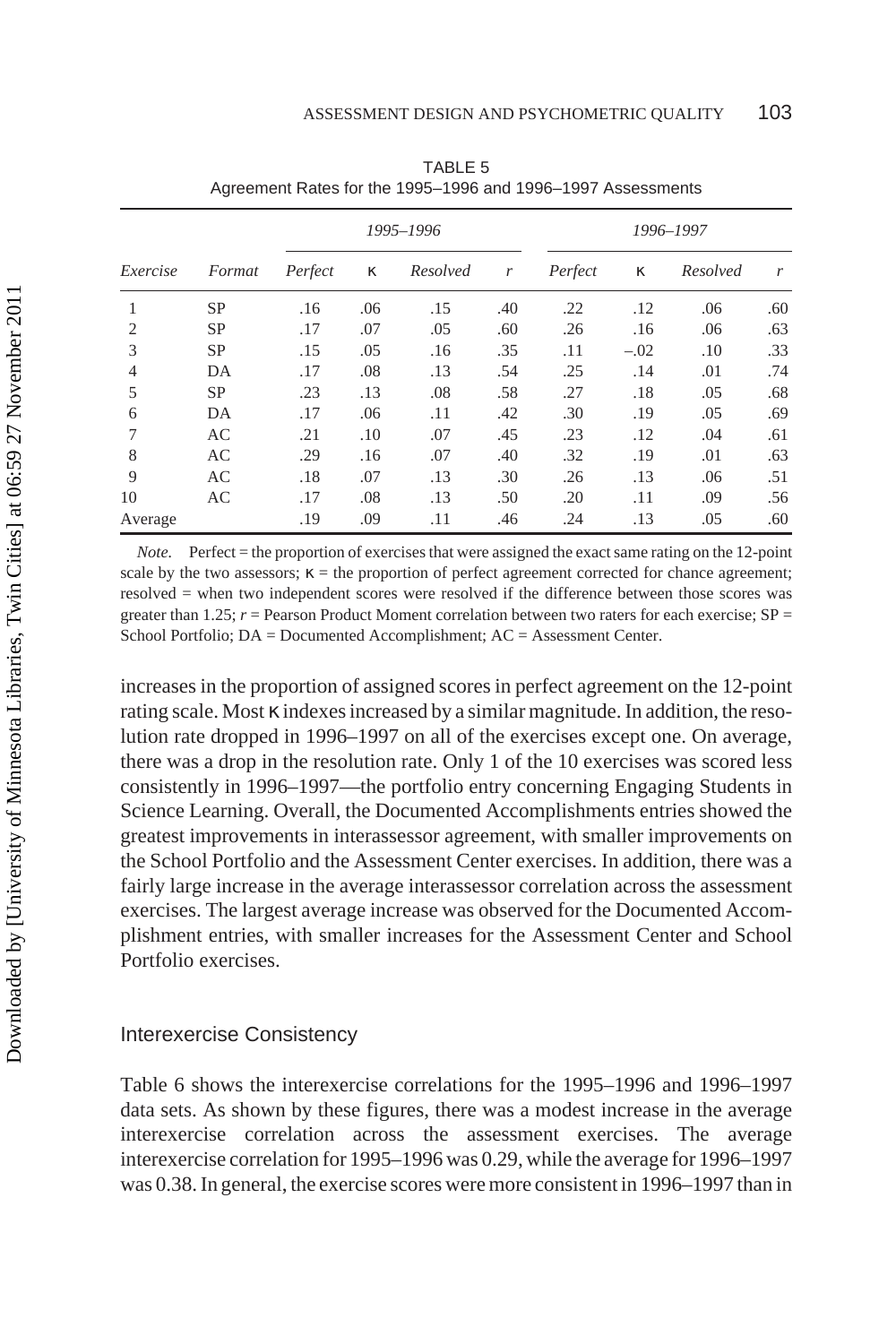|                |           | 1995-1996 |     |          |     | 1996-1997 |        |          |     |  |
|----------------|-----------|-----------|-----|----------|-----|-----------|--------|----------|-----|--|
| Exercise       | Format    | Perfect   | к   | Resolved | r   | Perfect   | К      | Resolved | r   |  |
| 1              | <b>SP</b> | .16       | .06 | .15      | .40 | .22       | .12    | .06      | .60 |  |
| $\overline{2}$ | <b>SP</b> | .17       | .07 | .05      | .60 | .26       | .16    | .06      | .63 |  |
| 3              | SP        | .15       | .05 | .16      | .35 | .11       | $-.02$ | .10      | .33 |  |
| 4              | DA        | .17       | .08 | .13      | .54 | .25       | .14    | .01      | .74 |  |
| 5              | <b>SP</b> | .23       | .13 | .08      | .58 | .27       | .18    | .05      | .68 |  |
| 6              | DA        | .17       | .06 | .11      | .42 | .30       | .19    | .05      | .69 |  |
| 7              | AC        | .21       | .10 | .07      | .45 | .23       | .12    | .04      | .61 |  |
| 8              | AC        | .29       | .16 | .07      | .40 | .32       | .19    | .01      | .63 |  |
| 9              | AC        | .18       | .07 | .13      | .30 | .26       | .13    | .06      | .51 |  |
| 10             | AC        | .17       | .08 | .13      | .50 | .20       | .11    | .09      | .56 |  |
| Average        |           | .19       | .09 | .11      | .46 | .24       | .13    | .05      | .60 |  |

TABLE 5 Agreement Rates for the 1995–1996 and 1996–1997 Assessments

*Note.* Perfect = the proportion of exercises that were assigned the exact same rating on the 12-point scale by the two assessors;  $\kappa$  = the proportion of perfect agreement corrected for chance agreement; resolved = when two independent scores were resolved if the difference between those scores was greater than 1.25;  $r =$  Pearson Product Moment correlation between two raters for each exercise;  $SP =$ School Portfolio; DA = Documented Accomplishment; AC = Assessment Center.

increases in the proportion of assigned scores in perfect agreement on the 12-point rating scale. Most κ indexes increased by a similar magnitude. In addition, the resolution rate dropped in 1996–1997 on all of the exercises except one. On average, there was a drop in the resolution rate. Only 1 of the 10 exercises was scored less consistently in 1996–1997—the portfolio entry concerning Engaging Students in Science Learning. Overall, the Documented Accomplishments entries showed the greatest improvements in interassessor agreement, with smaller improvements on the School Portfolio and the Assessment Center exercises. In addition, there was a fairly large increase in the average interassessor correlation across the assessment exercises. The largest average increase was observed for the Documented Accomplishment entries, with smaller increases for the Assessment Center and School Portfolio exercises.

# Interexercise Consistency

Table 6 shows the interexercise correlations for the 1995–1996 and 1996–1997 data sets. As shown by these figures, there was a modest increase in the average interexercise correlation across the assessment exercises. The average interexercise correlation for 1995–1996 was 0.29, while the average for 1996–1997 was 0.38. In general, the exercise scores were more consistent in 1996–1997 than in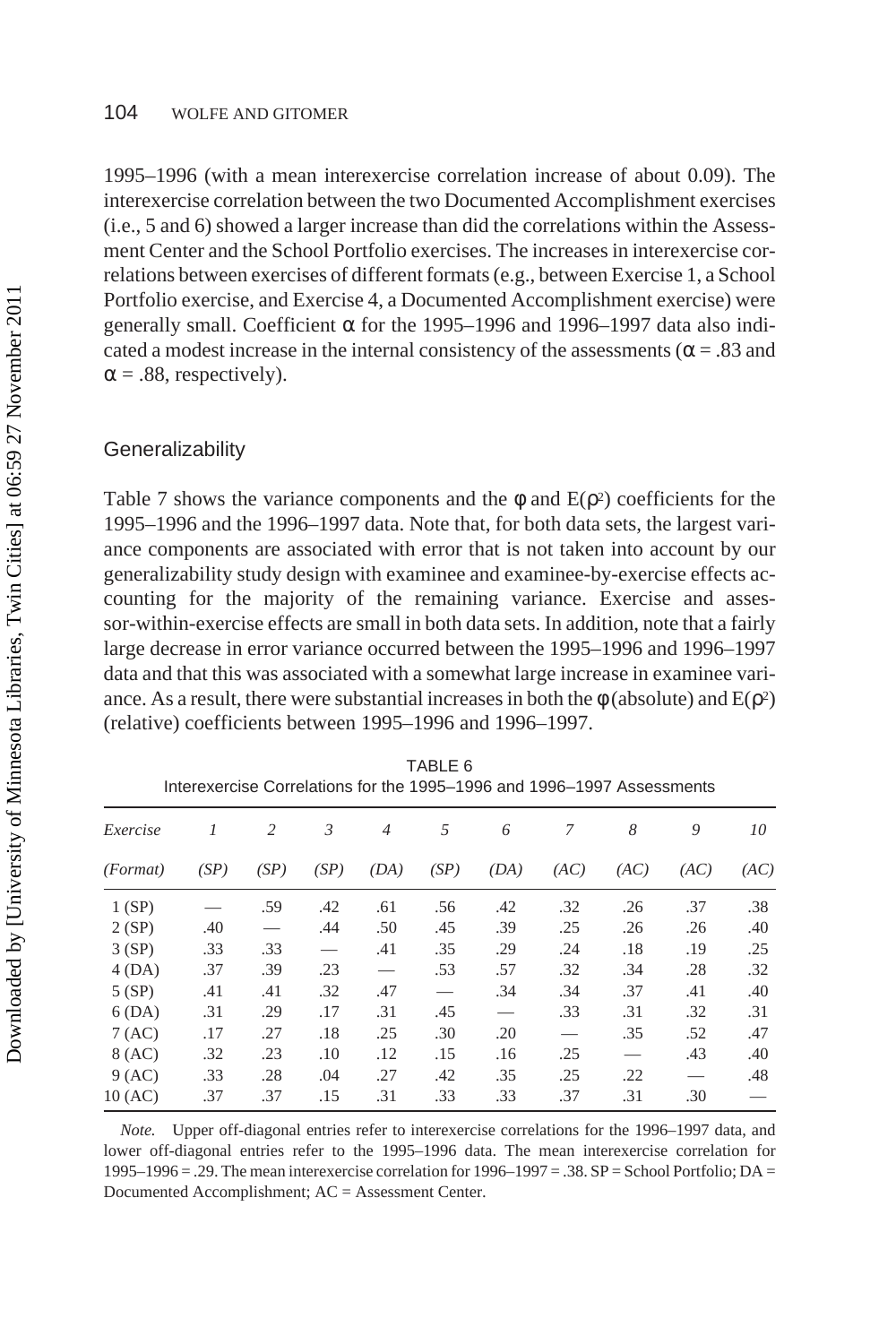1995–1996 (with a mean interexercise correlation increase of about 0.09). The interexercise correlation between the two Documented Accomplishment exercises (i.e., 5 and 6) showed a larger increase than did the correlations within the Assessment Center and the School Portfolio exercises. The increases in interexercise correlations between exercises of different formats (e.g., between Exercise 1, a School Portfolio exercise, and Exercise 4, a Documented Accomplishment exercise) were generally small. Coefficient  $\alpha$  for the 1995–1996 and 1996–1997 data also indicated a modest increase in the internal consistency of the assessments ( $\alpha$  = .83 and  $\alpha$  = .88, respectively).

# **Generalizability**

Table 7 shows the variance components and the  $\phi$  and  $E(\rho^2)$  coefficients for the 1995–1996 and the 1996–1997 data. Note that, for both data sets, the largest variance components are associated with error that is not taken into account by our generalizability study design with examinee and examinee-by-exercise effects accounting for the majority of the remaining variance. Exercise and assessor-within-exercise effects are small in both data sets. In addition, note that a fairly large decrease in error variance occurred between the 1995–1996 and 1996–1997 data and that this was associated with a somewhat large increase in examinee variance. As a result, there were substantial increases in both the  $\phi$  (absolute) and  $E(\rho^2)$ (relative) coefficients between 1995–1996 and 1996–1997.

|          | 1 ADLL V<br>Interexercise Correlations for the 1995–1996 and 1996–1997 Assessments |      |                          |                |      |      |      |      |      |      |
|----------|------------------------------------------------------------------------------------|------|--------------------------|----------------|------|------|------|------|------|------|
| Exercise | 1                                                                                  | 2    | 3                        | $\overline{4}$ | 5    | 6    | 7    | 8    | 9    | 10   |
| (Format) | (SP)                                                                               | (SP) | (SP)                     | (DA)           | (SP) | (DA) | (AC) | (AC) | (AC) | (AC) |
| 1(SP)    |                                                                                    | .59  | .42                      | .61            | .56  | .42  | .32  | .26  | .37  | .38  |
| 2(SP)    | .40                                                                                |      | .44                      | .50            | .45  | .39  | .25  | .26  | .26  | .40  |
| 3(SP)    | .33                                                                                | .33  | $\overline{\phantom{0}}$ | .41            | .35  | .29  | .24  | .18  | .19  | .25  |
| 4(DA)    | .37                                                                                | .39  | .23                      |                | .53  | .57  | .32  | .34  | .28  | .32  |
| 5(SP)    | .41                                                                                | .41  | .32                      | .47            |      | .34  | .34  | .37  | .41  | .40  |
| $6$ (DA) | .31                                                                                | .29  | .17                      | .31            | .45  |      | .33  | .31  | .32  | .31  |
| 7(AC)    | .17                                                                                | .27  | .18                      | .25            | .30  | .20  |      | .35  | .52  | .47  |
| 8 (AC)   | .32                                                                                | .23  | .10                      | .12            | .15  | .16  | .25  |      | .43  | .40  |
| 9 (AC)   | .33                                                                                | .28  | .04                      | .27            | .42  | .35  | .25  | .22  |      | .48  |
| 10 (AC)  | .37                                                                                | .37  | .15                      | .31            | .33  | .33  | .37  | .31  | .30  |      |

|                                                                  | TABLE 6 |  |
|------------------------------------------------------------------|---------|--|
| rexercise Correlations for the 1995–1996 and 1996–1997 Assessmen |         |  |

*Note.* Upper off-diagonal entries refer to interexercise correlations for the 1996–1997 data, and lower off-diagonal entries refer to the 1995–1996 data. The mean interexercise correlation for  $1995-1996 = .29$ . The mean interexercise correlation for  $1996-1997 = .38$ . SP = School Portfolio; DA = Documented Accomplishment; AC = Assessment Center.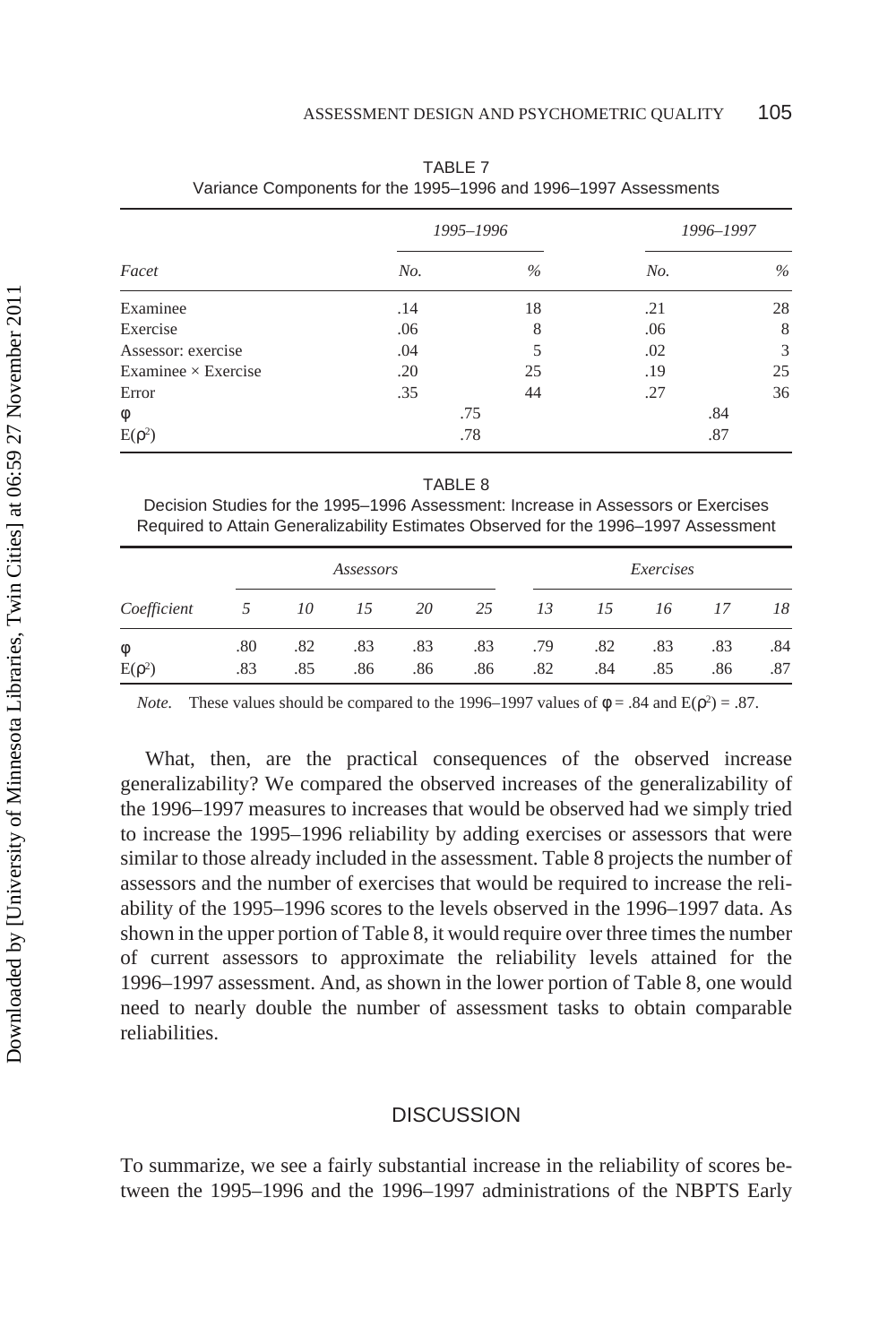|                            |     | 1995-1996 |     | 1996-1997 |  |
|----------------------------|-----|-----------|-----|-----------|--|
| Facet                      | No. | $\%$      | No. | $\%$      |  |
| Examinee                   | .14 | 18        | .21 | 28        |  |
| Exercise                   | .06 | 8         | .06 | 8         |  |
| Assessor: exercise         | .04 | 5         | .02 | 3         |  |
| Examinee $\times$ Exercise | .20 | 25        | .19 | 25        |  |
| Error                      | .35 | 44        | .27 | 36        |  |
| φ                          | .75 |           | .84 |           |  |
| $E(\rho^2)$                | .78 |           | .87 |           |  |

TABLE 7 Variance Components for the 1995–1996 and 1996–1997 Assessments

#### TABLE 8

Decision Studies for the 1995–1996 Assessment: Increase in Assessors or Exercises Required to Attain Generalizability Estimates Observed for the 1996–1997 Assessment

| Coefficient |     | Assessors |     |      |     |     | Exercises |     |     |     |
|-------------|-----|-----------|-----|------|-----|-----|-----------|-----|-----|-----|
|             | 5   | - 10      | 15  | - 20 | 25  | 13  | 15        | 16  |     | 18  |
| Ò           | .80 | .82       | .83 | .83  | .83 | .79 | .82       | .83 | .83 | .84 |
| $E(\rho^2)$ | .83 | .85       | .86 | .86  | .86 | .82 | .84       | .85 | .86 | .87 |

*Note.* These values should be compared to the 1996–1997 values of  $\phi = .84$  and  $E(\rho^2) = .87$ .

What, then, are the practical consequences of the observed increase generalizability? We compared the observed increases of the generalizability of the 1996–1997 measures to increases that would be observed had we simply tried to increase the 1995–1996 reliability by adding exercises or assessors that were similar to those already included in the assessment. Table 8 projects the number of assessors and the number of exercises that would be required to increase the reliability of the 1995–1996 scores to the levels observed in the 1996–1997 data. As shown in the upper portion of Table 8, it would require over three times the number of current assessors to approximate the reliability levels attained for the 1996–1997 assessment. And, as shown in the lower portion of Table 8, one would need to nearly double the number of assessment tasks to obtain comparable reliabilities.

# **DISCUSSION**

To summarize, we see a fairly substantial increase in the reliability of scores between the 1995–1996 and the 1996–1997 administrations of the NBPTS Early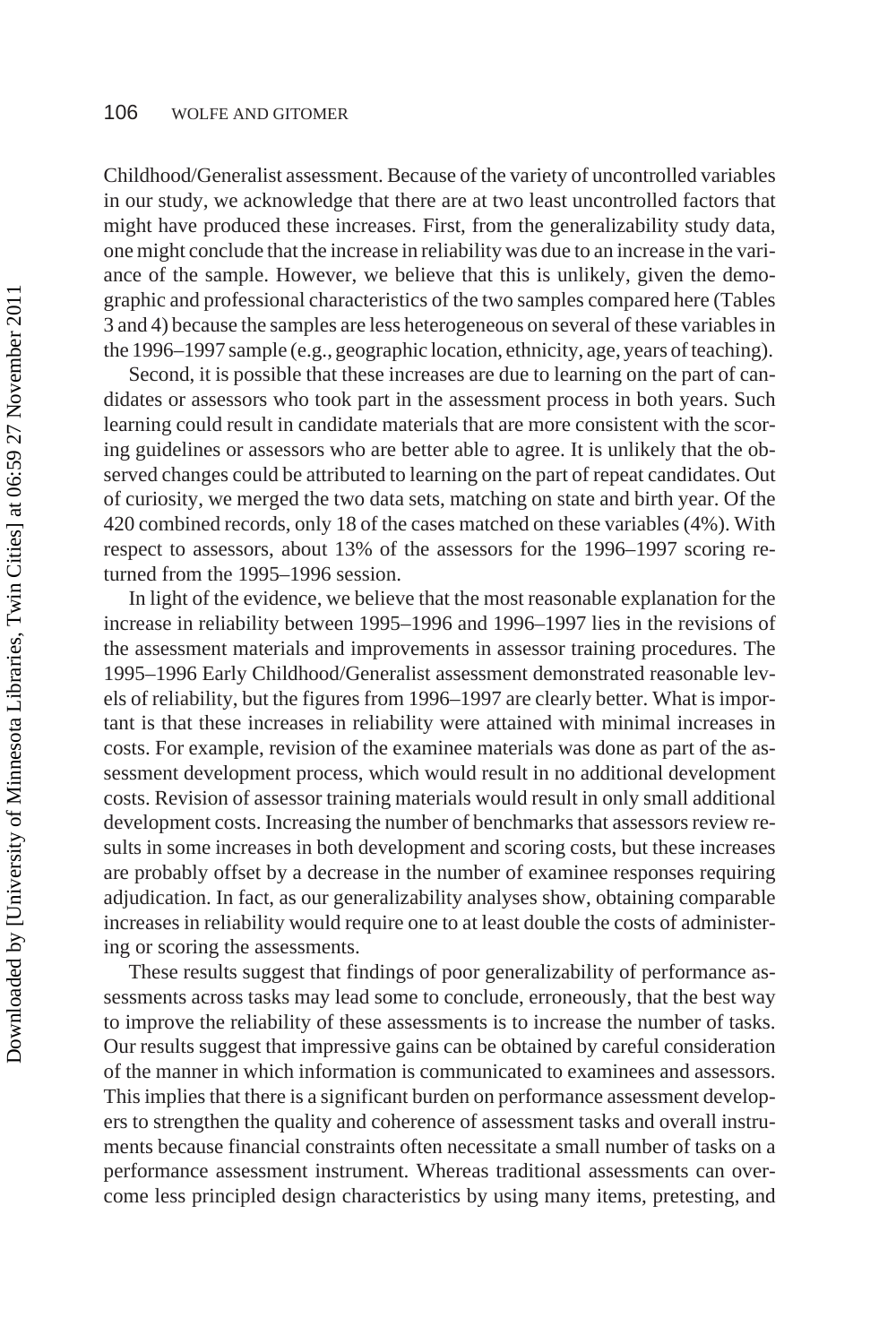Childhood/Generalist assessment. Because of the variety of uncontrolled variables in our study, we acknowledge that there are at two least uncontrolled factors that might have produced these increases. First, from the generalizability study data, one might conclude that the increase in reliability was due to an increase in the variance of the sample. However, we believe that this is unlikely, given the demographic and professional characteristics of the two samples compared here (Tables 3 and 4) because the samples are less heterogeneous on several of these variables in the 1996–1997 sample (e.g., geographic location, ethnicity, age, years of teaching).

Second, it is possible that these increases are due to learning on the part of candidates or assessors who took part in the assessment process in both years. Such learning could result in candidate materials that are more consistent with the scoring guidelines or assessors who are better able to agree. It is unlikely that the observed changes could be attributed to learning on the part of repeat candidates. Out of curiosity, we merged the two data sets, matching on state and birth year. Of the 420 combined records, only 18 of the cases matched on these variables (4%). With respect to assessors, about 13% of the assessors for the 1996–1997 scoring returned from the 1995–1996 session.

In light of the evidence, we believe that the most reasonable explanation for the increase in reliability between 1995–1996 and 1996–1997 lies in the revisions of the assessment materials and improvements in assessor training procedures. The 1995–1996 Early Childhood/Generalist assessment demonstrated reasonable levels of reliability, but the figures from 1996–1997 are clearly better. What is important is that these increases in reliability were attained with minimal increases in costs. For example, revision of the examinee materials was done as part of the assessment development process, which would result in no additional development costs. Revision of assessor training materials would result in only small additional development costs. Increasing the number of benchmarks that assessors review results in some increases in both development and scoring costs, but these increases are probably offset by a decrease in the number of examinee responses requiring adjudication. In fact, as our generalizability analyses show, obtaining comparable increases in reliability would require one to at least double the costs of administering or scoring the assessments.

These results suggest that findings of poor generalizability of performance assessments across tasks may lead some to conclude, erroneously, that the best way to improve the reliability of these assessments is to increase the number of tasks. Our results suggest that impressive gains can be obtained by careful consideration of the manner in which information is communicated to examinees and assessors. This implies that there is a significant burden on performance assessment developers to strengthen the quality and coherence of assessment tasks and overall instruments because financial constraints often necessitate a small number of tasks on a performance assessment instrument. Whereas traditional assessments can overcome less principled design characteristics by using many items, pretesting, and